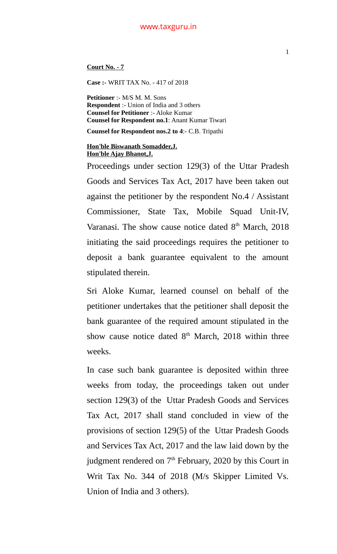**Court No. - 7**

**Case :-** WRIT TAX No. - 417 of 2018

**Petitioner** :- M/S M. M. Sons **Respondent** :- Union of India and 3 others **Counsel for Petitioner** :- Aloke Kumar **Counsel for Respondent no.1**: Anant Kumar Tiwari

**Counsel for Respondent nos.2 to 4**:- C.B. Tripathi

## **Hon'ble Biswanath Somadder,J. Hon'ble Ajay Bhanot,J.**

Proceedings under section 129(3) of the Uttar Pradesh Goods and Services Tax Act, 2017 have been taken out against the petitioner by the respondent No.4 / Assistant Commissioner, State Tax, Mobile Squad Unit-IV, Varanasi. The show cause notice dated  $8<sup>th</sup>$  March, 2018 initiating the said proceedings requires the petitioner to deposit a bank guarantee equivalent to the amount stipulated therein.

Sri Aloke Kumar, learned counsel on behalf of the petitioner undertakes that the petitioner shall deposit the bank guarantee of the required amount stipulated in the show cause notice dated  $8<sup>th</sup>$  March, 2018 within three weeks.

In case such bank guarantee is deposited within three weeks from today, the proceedings taken out under section 129(3) of the Uttar Pradesh Goods and Services Tax Act, 2017 shall stand concluded in view of the provisions of section 129(5) of the Uttar Pradesh Goods and Services Tax Act, 2017 and the law laid down by the judgment rendered on  $7<sup>th</sup>$  February, 2020 by this Court in Writ Tax No. 344 of 2018 (M/s Skipper Limited Vs. Union of India and 3 others).